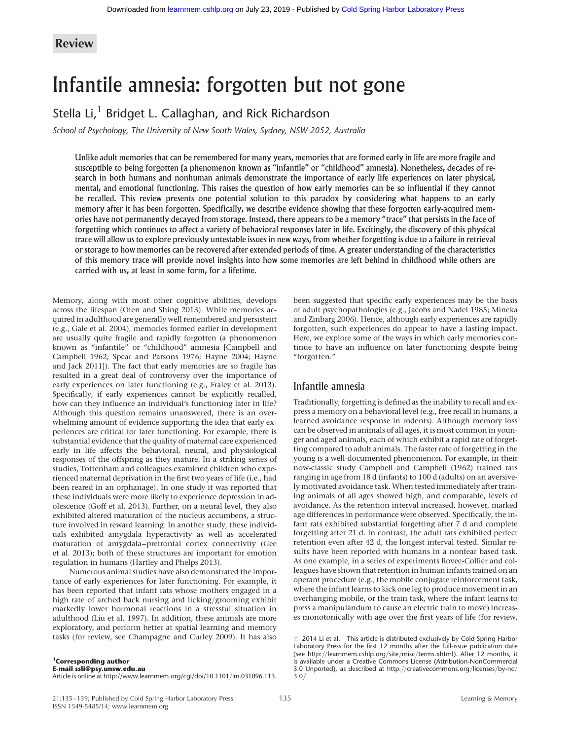# Review

# Infantile amnesia: forgotten but not gone

# Stella Li, $<sup>1</sup>$  Bridget L. Callaghan, and Rick Richardson</sup>

School of Psychology, The University of New South Wales, Sydney, NSW 2052, Australia

Unlike adult memories that can be remembered for many years, memories that are formed early in life are more fragile and susceptible to being forgotten (a phenomenon known as "infantile" or "childhood" amnesia). Nonetheless, decades of research in both humans and nonhuman animals demonstrate the importance of early life experiences on later physical, mental, and emotional functioning. This raises the question of how early memories can be so influential if they cannot be recalled. This review presents one potential solution to this paradox by considering what happens to an early memory after it has been forgotten. Specifically, we describe evidence showing that these forgotten early-acquired memories have not permanently decayed from storage. Instead, there appears to be a memory "trace" that persists in the face of forgetting which continues to affect a variety of behavioral responses later in life. Excitingly, the discovery of this physical trace will allow us to explore previously untestable issues in new ways, from whether forgetting is due to a failure in retrieval or storage to how memories can be recovered after extended periods of time. A greater understanding of the characteristics of this memory trace will provide novel insights into how some memories are left behind in childhood while others are carried with us, at least in some form, for a lifetime.

Memory, along with most other cognitive abilities, develops across the lifespan (Ofen and Shing 2013). While memories acquired in adulthood are generally well remembered and persistent (e.g., Gale et al. 2004), memories formed earlier in development are usually quite fragile and rapidly forgotten (a phenomenon known as "infantile" or "childhood" amnesia [Campbell and Campbell 1962; Spear and Parsons 1976; Hayne 2004; Hayne and Jack 2011]). The fact that early memories are so fragile has resulted in a great deal of controversy over the importance of early experiences on later functioning (e.g., Fraley et al. 2013). Specifically, if early experiences cannot be explicitly recalled, how can they influence an individual's functioning later in life? Although this question remains unanswered, there is an overwhelming amount of evidence supporting the idea that early experiences are critical for later functioning. For example, there is substantial evidence that the quality of maternal care experienced early in life affects the behavioral, neural, and physiological responses of the offspring as they mature. In a striking series of studies, Tottenham and colleagues examined children who experienced maternal deprivation in the first two years of life (i.e., had been reared in an orphanage). In one study it was reported that these individuals were more likely to experience depression in adolescence (Goff et al. 2013). Further, on a neural level, they also exhibited altered maturation of the nucleus accumbens, a structure involved in reward learning. In another study, these individuals exhibited amygdala hyperactivity as well as accelerated maturation of amygdala–prefrontal cortex connectivity (Gee et al. 2013); both of these structures are important for emotion regulation in humans (Hartley and Phelps 2013).

Numerous animal studies have also demonstrated the importance of early experiences for later functioning. For example, it has been reported that infant rats whose mothers engaged in a high rate of arched back nursing and licking/grooming exhibit markedly lower hormonal reactions in a stressful situation in adulthood (Liu et al. 1997). In addition, these animals are more exploratory, and perform better at spatial learning and memory tasks (for review, see Champagne and Curley 2009). It has also

<sup>1</sup>Corresponding author E-mail ssli@psy.unsw.edu.au

Article is online at http://www.learnmem.org/cgi/doi/10.1101/lm.031096.113.

been suggested that specific early experiences may be the basis of adult psychopathologies (e.g., Jacobs and Nadel 1985; Mineka and Zinbarg 2006). Hence, although early experiences are rapidly forgotten, such experiences do appear to have a lasting impact. Here, we explore some of the ways in which early memories continue to have an influence on later functioning despite being "forgotten."

#### Infantile amnesia

Traditionally, forgetting is defined as the inability to recall and express a memory on a behavioral level (e.g., free recall in humans, a learned avoidance response in rodents). Although memory loss can be observed in animals of all ages, it is most common in younger and aged animals, each of which exhibit a rapid rate of forgetting compared to adult animals. The faster rate of forgetting in the young is a well-documented phenomenon. For example, in their now-classic study Campbell and Campbell (1962) trained rats ranging in age from 18 d (infants) to 100 d (adults) on an aversively motivated avoidance task. When tested immediately after training animals of all ages showed high, and comparable, levels of avoidance. As the retention interval increased, however, marked age differences in performance were observed. Specifically, the infant rats exhibited substantial forgetting after 7 d and complete forgetting after 21 d. In contrast, the adult rats exhibited perfect retention even after 42 d, the longest interval tested. Similar results have been reported with humans in a nonfear based task. As one example, in a series of experiments Rovee-Collier and colleagues have shown that retention in human infants trained on an operant procedure (e.g., the mobile conjugate reinforcement task, where the infant learns to kick one leg to produce movement in an overhanging mobile, or the train task, where the infant learns to press a manipulandum to cause an electric train to move) increases monotonically with age over the first years of life (for review,

 $\odot$  2014 Li et al. This article is distributed exclusively by Cold Spring Harbor Laboratory Press for the first 12 months after the full-issue publication date (see http://learnmem.cshlp.org/site/misc/terms.xhtml). After 12 months, it is available under a Creative Commons License (Attribution-NonCommercial 3.0 Unported), as described at http://creativecommons.org/licenses/by-nc/ 3.0/.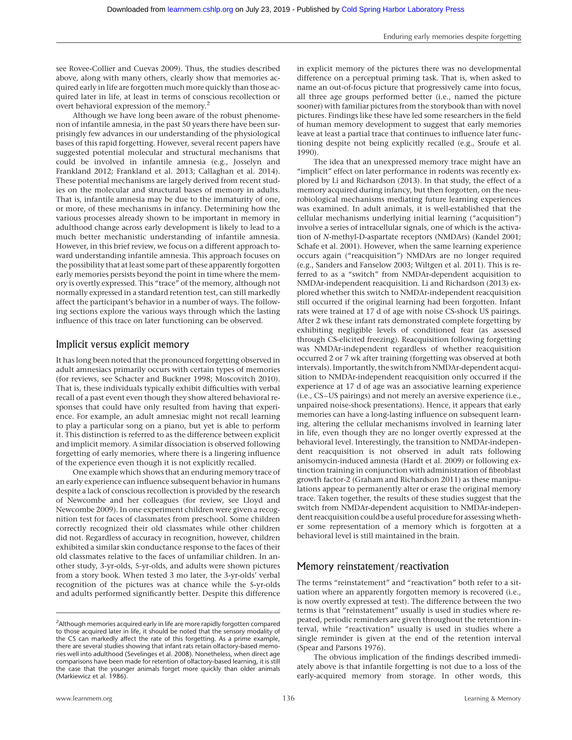see Rovee-Collier and Cuevas 2009). Thus, the studies described above, along with many others, clearly show that memories acquired early in life are forgotten much more quickly than those acquired later in life, at least in terms of conscious recollection or overt behavioral expression of the memory.<sup>2</sup>

Although we have long been aware of the robust phenomenon of infantile amnesia, in the past 50 years there have been surprisingly few advances in our understanding of the physiological bases of this rapid forgetting. However, several recent papers have suggested potential molecular and structural mechanisms that could be involved in infantile amnesia (e.g., Josselyn and Frankland 2012; Frankland et al. 2013; Callaghan et al. 2014). These potential mechanisms are largely derived from recent studies on the molecular and structural bases of memory in adults. That is, infantile amnesia may be due to the immaturity of one, or more, of these mechanisms in infancy. Determining how the various processes already shown to be important in memory in adulthood change across early development is likely to lead to a much better mechanistic understanding of infantile amnesia. However, in this brief review, we focus on a different approach toward understanding infantile amnesia. This approach focuses on the possibility that at least some part of these apparently forgotten early memories persists beyond the point in time where the memory is overtly expressed. This "trace" of the memory, although not normally expressed in a standard retention test, can still markedly affect the participant's behavior in a number of ways. The following sections explore the various ways through which the lasting influence of this trace on later functioning can be observed.

#### Implicit versus explicit memory

It has long been noted that the pronounced forgetting observed in adult amnesiacs primarily occurs with certain types of memories (for reviews, see Schacter and Buckner 1998; Moscovitch 2010). That is, these individuals typically exhibit difficulties with verbal recall of a past event even though they show altered behavioral responses that could have only resulted from having that experience. For example, an adult amnesiac might not recall learning to play a particular song on a piano, but yet is able to perform it. This distinction is referred to as the difference between explicit and implicit memory. A similar dissociation is observed following forgetting of early memories, where there is a lingering influence of the experience even though it is not explicitly recalled.

One example which shows that an enduring memory trace of an early experience can influence subsequent behavior in humans despite a lack of conscious recollection is provided by the research of Newcombe and her colleagues (for review, see Lloyd and Newcombe 2009). In one experiment children were given a recognition test for faces of classmates from preschool. Some children correctly recognized their old classmates while other children did not. Regardless of accuracy in recognition, however, children exhibited a similar skin conductance response to the faces of their old classmates relative to the faces of unfamiliar children. In another study, 3-yr-olds, 5-yr-olds, and adults were shown pictures from a story book. When tested 3 mo later, the 3-yr-olds' verbal recognition of the pictures was at chance while the 5-yr-olds and adults performed significantly better. Despite this difference in explicit memory of the pictures there was no developmental difference on a perceptual priming task. That is, when asked to name an out-of-focus picture that progressively came into focus, all three age groups performed better (i.e., named the picture sooner) with familiar pictures from the storybook than with novel pictures. Findings like these have led some researchers in the field of human memory development to suggest that early memories leave at least a partial trace that continues to influence later functioning despite not being explicitly recalled (e.g., Sroufe et al. 1990).

The idea that an unexpressed memory trace might have an "implicit" effect on later performance in rodents was recently explored by Li and Richardson (2013). In that study, the effect of a memory acquired during infancy, but then forgotten, on the neurobiological mechanisms mediating future learning experiences was examined. In adult animals, it is well-established that the cellular mechanisms underlying initial learning ("acquisition") involve a series of intracellular signals, one of which is the activation of N-methyl-D-aspartate receptors (NMDArs) (Kandel 2001; Schafe et al. 2001). However, when the same learning experience occurs again ("reacquisition") NMDArs are no longer required (e.g., Sanders and Fanselow 2003; Wiltgen et al. 2011). This is referred to as a "switch" from NMDAr-dependent acquisition to NMDAr-independent reacquisition. Li and Richardson (2013) explored whether this switch to NMDAr-independent reacquisition still occurred if the original learning had been forgotten. Infant rats were trained at 17 d of age with noise CS-shock US pairings. After 2 wk these infant rats demonstrated complete forgetting by exhibiting negligible levels of conditioned fear (as assessed through CS-elicited freezing). Reacquisition following forgetting was NMDAr-independent regardless of whether reacquisition occurred 2 or 7 wk after training (forgetting was observed at both intervals). Importantly, the switch from NMDAr-dependent acquisition to NMDAr-independent reacquisition only occurred if the experience at 17 d of age was an associative learning experience (i.e., CS–US pairings) and not merely an aversive experience (i.e., unpaired noise-shock presentations). Hence, it appears that early memories can have a long-lasting influence on subsequent learning, altering the cellular mechanisms involved in learning later in life, even though they are no longer overtly expressed at the behavioral level. Interestingly, the transition to NMDAr-independent reacquisition is not observed in adult rats following anisomycin-induced amnesia (Hardt et al. 2009) or following extinction training in conjunction with administration of fibroblast growth factor-2 (Graham and Richardson 2011) as these manipulations appear to permanently alter or erase the original memory trace. Taken together, the results of these studies suggest that the switch from NMDAr-dependent acquisition to NMDAr-independent reacquisition could be a useful procedure for assessing whether some representation of a memory which is forgotten at a behavioral level is still maintained in the brain.

#### Memory reinstatement/reactivation

The terms "reinstatement" and "reactivation" both refer to a situation where an apparently forgotten memory is recovered (i.e., is now overtly expressed at test). The difference between the two terms is that "reinstatement" usually is used in studies where repeated, periodic reminders are given throughout the retention interval, while "reactivation" usually is used in studies where a single reminder is given at the end of the retention interval (Spear and Parsons 1976).

The obvious implication of the findings described immediately above is that infantile forgetting is not due to a loss of the early-acquired memory from storage. In other words, this

<sup>&</sup>lt;sup>2</sup>Although memories acquired early in life are more rapidly forgotten compared to those acquired later in life, it should be noted that the sensory modality of the CS can markedly affect the rate of this forgetting. As a prime example, there are several studies showing that infant rats retain olfactory-based memories well into adulthood (Sevelinges et al. 2008). Nonetheless, when direct age comparisons have been made for retention of olfactory-based learning, it is still the case that the younger animals forget more quickly than older animals (Markiewicz et al. 1986).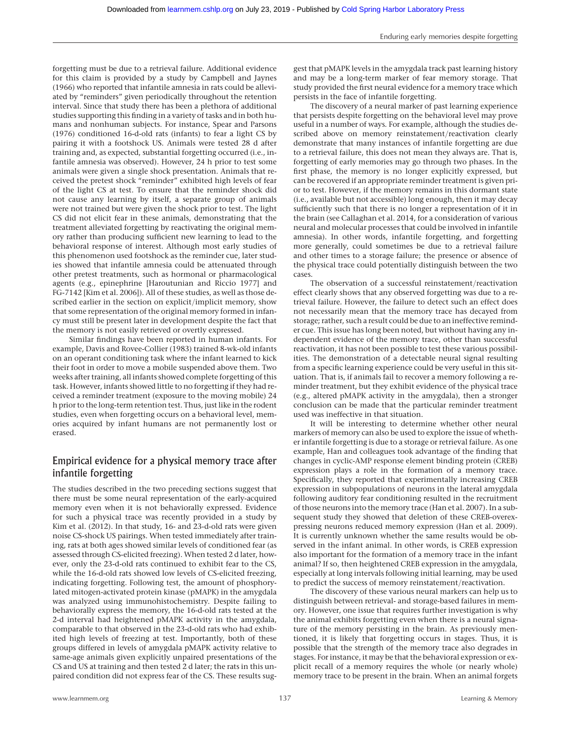forgetting must be due to a retrieval failure. Additional evidence for this claim is provided by a study by Campbell and Jaynes (1966) who reported that infantile amnesia in rats could be alleviated by "reminders" given periodically throughout the retention interval. Since that study there has been a plethora of additional studies supporting this finding in a variety of tasks and in both humans and nonhuman subjects. For instance, Spear and Parsons (1976) conditioned 16-d-old rats (infants) to fear a light CS by pairing it with a footshock US. Animals were tested 28 d after training and, as expected, substantial forgetting occurred (i.e., infantile amnesia was observed). However, 24 h prior to test some animals were given a single shock presentation. Animals that received the pretest shock "reminder" exhibited high levels of fear of the light CS at test. To ensure that the reminder shock did not cause any learning by itself, a separate group of animals were not trained but were given the shock prior to test. The light CS did not elicit fear in these animals, demonstrating that the treatment alleviated forgetting by reactivating the original memory rather than producing sufficient new learning to lead to the behavioral response of interest. Although most early studies of this phenomenon used footshock as the reminder cue, later studies showed that infantile amnesia could be attenuated through other pretest treatments, such as hormonal or pharmacological agents (e.g., epinephrine [Haroutunian and Riccio 1977] and FG-7142 [Kim et al. 2006]). All of these studies, as well as those described earlier in the section on explicit/implicit memory, show that some representation of the original memory formed in infancy must still be present later in development despite the fact that the memory is not easily retrieved or overtly expressed.

Similar findings have been reported in human infants. For example, Davis and Rovee-Collier (1983) trained 8-wk-old infants on an operant conditioning task where the infant learned to kick their foot in order to move a mobile suspended above them. Two weeks after training, all infants showed complete forgetting of this task. However, infants showed little to no forgetting if they had received a reminder treatment (exposure to the moving mobile) 24 h prior to the long-term retention test. Thus, just like in the rodent studies, even when forgetting occurs on a behavioral level, memories acquired by infant humans are not permanently lost or erased.

## Empirical evidence for a physical memory trace after infantile forgetting

The studies described in the two preceding sections suggest that there must be some neural representation of the early-acquired memory even when it is not behaviorally expressed. Evidence for such a physical trace was recently provided in a study by Kim et al. (2012). In that study, 16- and 23-d-old rats were given noise CS-shock US pairings. When tested immediately after training, rats at both ages showed similar levels of conditioned fear (as assessed through CS-elicited freezing). When tested 2 d later, however, only the 23-d-old rats continued to exhibit fear to the CS, while the 16-d-old rats showed low levels of CS-elicited freezing, indicating forgetting. Following test, the amount of phosphorylated mitogen-activated protein kinase (pMAPK) in the amygdala was analyzed using immunohistochemistry. Despite failing to behaviorally express the memory, the 16-d-old rats tested at the 2-d interval had heightened pMAPK activity in the amygdala, comparable to that observed in the 23-d-old rats who had exhibited high levels of freezing at test. Importantly, both of these groups differed in levels of amygdala pMAPK activity relative to same-age animals given explicitly unpaired presentations of the CS and US at training and then tested 2 d later; the rats in this unpaired condition did not express fear of the CS. These results suggest that pMAPK levels in the amygdala track past learning history and may be a long-term marker of fear memory storage. That study provided the first neural evidence for a memory trace which persists in the face of infantile forgetting.

The discovery of a neural marker of past learning experience that persists despite forgetting on the behavioral level may prove useful in a number of ways. For example, although the studies described above on memory reinstatement/reactivation clearly demonstrate that many instances of infantile forgetting are due to a retrieval failure, this does not mean they always are. That is, forgetting of early memories may go through two phases. In the first phase, the memory is no longer explicitly expressed, but can be recovered if an appropriate reminder treatment is given prior to test. However, if the memory remains in this dormant state (i.e., available but not accessible) long enough, then it may decay sufficiently such that there is no longer a representation of it in the brain (see Callaghan et al. 2014, for a consideration of various neural and molecular processes that could be involved in infantile amnesia). In other words, infantile forgetting, and forgetting more generally, could sometimes be due to a retrieval failure and other times to a storage failure; the presence or absence of the physical trace could potentially distinguish between the two cases.

The observation of a successful reinstatement/reactivation effect clearly shows that any observed forgetting was due to a retrieval failure. However, the failure to detect such an effect does not necessarily mean that the memory trace has decayed from storage; rather, such a result could be due to an ineffective reminder cue. This issue has long been noted, but without having any independent evidence of the memory trace, other than successful reactivation, it has not been possible to test these various possibilities. The demonstration of a detectable neural signal resulting from a specific learning experience could be very useful in this situation. That is, if animals fail to recover a memory following a reminder treatment, but they exhibit evidence of the physical trace (e.g., altered pMAPK activity in the amygdala), then a stronger conclusion can be made that the particular reminder treatment used was ineffective in that situation.

It will be interesting to determine whether other neural markers of memory can also be used to explore the issue of whether infantile forgetting is due to a storage or retrieval failure. As one example, Han and colleagues took advantage of the finding that changes in cyclic-AMP response element binding protein (CREB) expression plays a role in the formation of a memory trace. Specifically, they reported that experimentally increasing CREB expression in subpopulations of neurons in the lateral amygdala following auditory fear conditioning resulted in the recruitment of those neurons into the memory trace (Han et al. 2007). In a subsequent study they showed that deletion of these CREB-overexpressing neurons reduced memory expression (Han et al. 2009). It is currently unknown whether the same results would be observed in the infant animal. In other words, is CREB expression also important for the formation of a memory trace in the infant animal? If so, then heightened CREB expression in the amygdala, especially at long intervals following initial learning, may be used to predict the success of memory reinstatement/reactivation.

The discovery of these various neural markers can help us to distinguish between retrieval- and storage-based failures in memory. However, one issue that requires further investigation is why the animal exhibits forgetting even when there is a neural signature of the memory persisting in the brain. As previously mentioned, it is likely that forgetting occurs in stages. Thus, it is possible that the strength of the memory trace also degrades in stages. For instance, it may be that the behavioral expression or explicit recall of a memory requires the whole (or nearly whole) memory trace to be present in the brain. When an animal forgets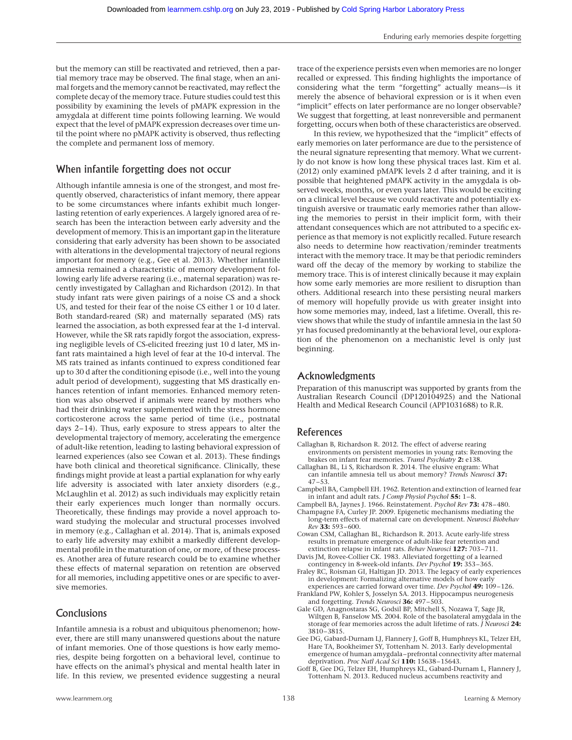but the memory can still be reactivated and retrieved, then a partial memory trace may be observed. The final stage, when an animal forgets and the memory cannot be reactivated, may reflect the complete decay of the memory trace. Future studies could test this possibility by examining the levels of pMAPK expression in the amygdala at different time points following learning. We would expect that the level of pMAPK expression decreases over time until the point where no pMAPK activity is observed, thus reflecting the complete and permanent loss of memory.

### When infantile forgetting does not occur

Although infantile amnesia is one of the strongest, and most frequently observed, characteristics of infant memory, there appear to be some circumstances where infants exhibit much longerlasting retention of early experiences. A largely ignored area of research has been the interaction between early adversity and the development of memory. This is an important gap in the literature considering that early adversity has been shown to be associated with alterations in the developmental trajectory of neural regions important for memory (e.g., Gee et al. 2013). Whether infantile amnesia remained a characteristic of memory development following early life adverse rearing (i.e., maternal separation) was recently investigated by Callaghan and Richardson (2012). In that study infant rats were given pairings of a noise CS and a shock US, and tested for their fear of the noise CS either 1 or 10 d later. Both standard-reared (SR) and maternally separated (MS) rats learned the association, as both expressed fear at the 1-d interval. However, while the SR rats rapidly forgot the association, expressing negligible levels of CS-elicited freezing just 10 d later, MS infant rats maintained a high level of fear at the 10-d interval. The MS rats trained as infants continued to express conditioned fear up to 30 d after the conditioning episode (i.e., well into the young adult period of development), suggesting that MS drastically enhances retention of infant memories. Enhanced memory retention was also observed if animals were reared by mothers who had their drinking water supplemented with the stress hormone corticosterone across the same period of time (i.e., postnatal days 2–14). Thus, early exposure to stress appears to alter the developmental trajectory of memory, accelerating the emergence of adult-like retention, leading to lasting behavioral expression of learned experiences (also see Cowan et al. 2013). These findings have both clinical and theoretical significance. Clinically, these findings might provide at least a partial explanation for why early life adversity is associated with later anxiety disorders (e.g., McLaughlin et al. 2012) as such individuals may explicitly retain their early experiences much longer than normally occurs. Theoretically, these findings may provide a novel approach toward studying the molecular and structural processes involved in memory (e.g., Callaghan et al. 2014). That is, animals exposed to early life adversity may exhibit a markedly different developmental profile in the maturation of one, or more, of these processes. Another area of future research could be to examine whether these effects of maternal separation on retention are observed for all memories, including appetitive ones or are specific to aversive memories.

## **Conclusions**

Infantile amnesia is a robust and ubiquitous phenomenon; however, there are still many unanswered questions about the nature of infant memories. One of those questions is how early memories, despite being forgotten on a behavioral level, continue to have effects on the animal's physical and mental health later in life. In this review, we presented evidence suggesting a neural

trace of the experience persists even when memories are no longer recalled or expressed. This finding highlights the importance of considering what the term "forgetting" actually means—is it merely the absence of behavioral expression or is it when even "implicit" effects on later performance are no longer observable? We suggest that forgetting, at least nonreversible and permanent forgetting, occurs when both of these characteristics are observed.

In this review, we hypothesized that the "implicit" effects of early memories on later performance are due to the persistence of the neural signature representing that memory. What we currently do not know is how long these physical traces last. Kim et al. (2012) only examined pMAPK levels 2 d after training, and it is possible that heightened pMAPK activity in the amygdala is observed weeks, months, or even years later. This would be exciting on a clinical level because we could reactivate and potentially extinguish aversive or traumatic early memories rather than allowing the memories to persist in their implicit form, with their attendant consequences which are not attributed to a specific experience as that memory is not explicitly recalled. Future research also needs to determine how reactivation/reminder treatments interact with the memory trace. It may be that periodic reminders ward off the decay of the memory by working to stabilize the memory trace. This is of interest clinically because it may explain how some early memories are more resilient to disruption than others. Additional research into these persisting neural markers of memory will hopefully provide us with greater insight into how some memories may, indeed, last a lifetime. Overall, this review shows that while the study of infantile amnesia in the last 50 yr has focused predominantly at the behavioral level, our exploration of the phenomenon on a mechanistic level is only just beginning.

### Acknowledgments

Preparation of this manuscript was supported by grants from the Australian Research Council (DP120104925) and the National Health and Medical Research Council (APP1031688) to R.R.

#### References

- Callaghan B, Richardson R. 2012. The effect of adverse rearing environments on persistent memories in young rats: Removing the brakes on infant fear memories. Transl Psychiatry 2: e138.
- Callaghan BL, Li S, Richardson R. 2014. The elusive engram: What can infantile amnesia tell us about memory? Trends Neurosci 37: 47–53.
- Campbell BA, Campbell EH. 1962. Retention and extinction of learned fear in infant and adult rats. J Comp Physiol Psychol 55: 1–8.
- Campbell BA, Jaynes J. 1966. Reinstatement. Psychol Rev 73: 478–480. Champagne FA, Curley JP. 2009. Epigenetic mechanisms mediating the long-term effects of maternal care on development. Neurosci Biobehav Rev 33: 593–600.
- Cowan CSM, Callaghan BL, Richardson R. 2013. Acute early-life stress results in premature emergence of adult-like fear retention and extinction relapse in infant rats. Behav Neurosci 127: 703-711.
- Davis JM, Rovee-Collier CK. 1983. Alleviated forgetting of a learned contingency in 8-week-old infants. Dev Psychol 19: 353-365.
- Fraley RC, Roisman GI, Haltigan JD. 2013. The legacy of early experiences in development: Formalizing alternative models of how early experiences are carried forward over time. Dev Psychol 49: 109-126.
- Frankland PW, Kohler S, Josselyn SA. 2013. Hippocampus neurogenesis and forgetting. Trends Neurosci 36: 497-503.
- Gale GD, Anagnostaras SG, Godsil BP, Mitchell S, Nozawa T, Sage JR, Wiltgen B, Fanselow MS. 2004. Role of the basolateral amygdala in the storage of fear memories across the adult lifetime of rats. *J Neurosci* 24: 3810–3815.
- Gee DG, Gabard-Durnam LJ, Flannery J, Goff B, Humphreys KL, Telzer EH, Hare TA, Bookheimer SY, Tottenham N. 2013. Early developmental emergence of human amygdala–prefrontal connectivity after maternal deprivation. Proc Natl Acad Sci 110: 15638-15643.
- Goff B, Gee DG, Telzer EH, Humphreys KL, Gabard-Durnam L, Flannery J, Tottenham N. 2013. Reduced nucleus accumbens reactivity and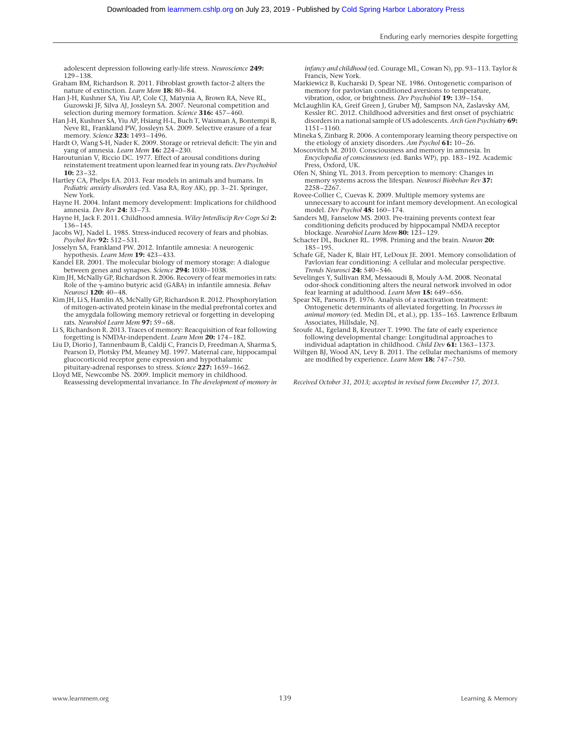Enduring early memories despite forgetting

adolescent depression following early-life stress. Neuroscience 249: 129–138.

- Graham BM, Richardson R. 2011. Fibroblast growth factor-2 alters the nature of extinction. Learn Mem 18: 80-84.
- Han J-H, Kushner SA, Yiu AP, Cole CJ, Matynia A, Brown RA, Neve RL, Guzowski JF, Silva AJ, Jossleyn SA. 2007. Neuronal competition and selection during memory formation. Science 316: 457-460.
- Han J-H, Kushner SA, Yiu AP, Hsiang H-L, Buch T, Waisman A, Bontempi B, Neve RL, Frankland PW, Jossleyn SA. 2009. Selective erasure of a fear memory. Science 323: 1493-1496.
- Hardt O, Wang S-H, Nader K. 2009. Storage or retrieval deficit: The yin and yang of amnesia. Learn Mem 16: 224–230.
- Haroutunian V, Riccio DC. 1977. Effect of arousal conditions during reinstatement treatment upon learned fear in young rats. Dev Psychobiol 10: 23–32.
- Hartley CA, Phelps EA. 2013. Fear models in animals and humans. In Pediatric anxiety disorders (ed. Vasa RA, Roy AK), pp. 3–21. Springer, New York.
- Hayne H. 2004. Infant memory development: Implications for childhood amnesia. Dev Rev 24: 33–73.
- Hayne H, Jack F. 2011. Childhood amnesia. Wiley Interdiscip Rev Cogn Sci 2: 136–145.
- Jacobs WJ, Nadel L. 1985. Stress-induced recovery of fears and phobias. Psychol Rev 92: 512–531.
- Josselyn SA, Frankland PW. 2012. Infantile amnesia: A neurogenic hypothesis. Learn Mem 19: 423–433.
- Kandel ER. 2001. The molecular biology of memory storage: A dialogue between genes and synapses. Science 294: 1030-1038.
- Kim JH, McNally GP, Richardson R. 2006. Recovery of fear memories in rats: Role of the  $\gamma$ -amino butyric acid (GABA) in infantile amnesia. Behav Neurosci 120: 40-48.
- Kim JH, Li S, Hamlin AS, McNally GP, Richardson R. 2012. Phosphorylation of mitogen-activated protein kinase in the medial prefrontal cortex and the amygdala following memory retrieval or forgetting in developing rats. Neurobiol Learn Mem 97: 59–68.
- Li S, Richardson R. 2013. Traces of memory: Reacquisition of fear following forgetting is NMDAr-independent. Learn Mem 20: 174–182.
- Liu D, Diorio J, Tannenbaum B, Caldji C, Francis D, Freedman A, Sharma S, Pearson D, Plotsky PM, Meaney MJ. 1997. Maternal care, hippocampal glucocorticoid receptor gene expression and hypothalamic pituitary-adrenal responses to stress. Science 227: 1659-1662.
- Lloyd ME, Newcombe NS. 2009. Implicit memory in childhood. Reassessing developmental invariance. In The development of memory in

infancy and childhood (ed. Courage ML, Cowan N), pp. 93–113. Taylor & Francis, New York.

- Markiewicz B, Kucharski D, Spear NE. 1986. Ontogenetic comparison of memory for pavlovian conditioned aversions to temperature, vibration, odor, or brightness. Dev Psychobiol 19: 139-154.
- McLaughlin KA, Greif Green J, Gruber MJ, Sampson NA, Zaslavsky AM, Kessler RC. 2012. Childhood adversities and first onset of psychiatric disorders in a national sample of US adolescents. Arch Gen Psychiatry 69: 1151–1160.
- Mineka S, Zinbarg R. 2006. A contemporary learning theory perspective on the etiology of anxiety disorders. Am Psychol  $61: 10-26$
- Moscovitch M. 2010. Consciousness and memory in amnesia. In Encyclopedia of consciousness (ed. Banks WP), pp. 183–192. Academic Press, Oxford, UK.
- Ofen N, Shing YL. 2013. From perception to memory: Changes in memory systems across the lifespan. Neurosci Biobehav Rev 37: 2258–2267.
- Rovee-Collier C, Cuevas K. 2009. Multiple memory systems are unnecessary to account for infant memory development. An ecological model. *Dev Psychol* **45:** 160–174.
- Sanders MJ, Fanselow MS. 2003. Pre-training prevents context fear conditioning deficits produced by hippocampal NMDA receptor<br>blockage. *Neurobiol Learn Mem* **80:** 123–129.
- Schacter DL, Buckner RL. 1998. Priming and the brain. Neuron 20: 185–195.
- Schafe GE, Nader K, Blair HT, LeDoux JE. 2001. Memory consolidation of Pavlovian fear conditioning: A cellular and molecular perspective. Trends Neurosci 24: 540–546.
- Sevelinges Y, Sullivan RM, Messaoudi B, Mouly A-M. 2008. Neonatal odor-shock conditioning alters the neural network involved in odor fear learning at adulthood. Learn Mem 15: 649-656.
- Spear NE, Parsons PJ. 1976. Analysis of a reactivation treatment: Ontogenetic determinants of alleviated forgetting. In Processes in animal memory (ed. Medin DL, et al.), pp. 135-165. Lawrence Erlbaum Associates, Hillsdale, NJ.
- Sroufe AL, Egeland B, Kreutzer T. 1990. The fate of early experience following developmental change: Longitudinal approaches to individual adaptation in childhood. Child Dev 61: 1363-1373.
- Wiltgen BJ, Wood AN, Levy B. 2011. The cellular mechanisms of memory are modified by experience. Learn Mem 18: 747-750.

Received October 31, 2013; accepted in revised form December 17, 2013.